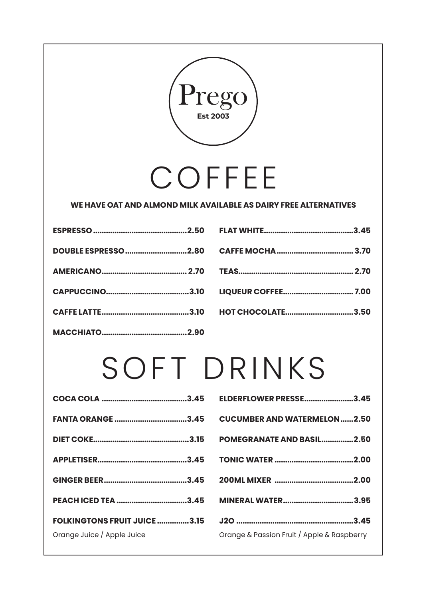

#### **WE HAVE OAT AND ALMOND MILK AVAILABLE AS DAIRY FREE ALTERNATIVES**

| DOUBLE ESPRESSO2.80 |  |
|---------------------|--|
|                     |  |
|                     |  |
|                     |  |
|                     |  |

| <b>HOT CHOCOLATE3.50</b> |  |
|--------------------------|--|

## SOFT DRINKS

| <b>FANTA ORANGE 3.45</b>                                          |  |
|-------------------------------------------------------------------|--|
|                                                                   |  |
|                                                                   |  |
|                                                                   |  |
| PEACH ICED TEA 3.45                                               |  |
| <b>FOLKINGTONS FRUIT JUICE 3.15</b><br>Orange Juice / Apple Juice |  |

| <b>ELDERFLOWER PRESSE3.45</b>              |
|--------------------------------------------|
| <b>CUCUMBER AND WATERMELON2.50</b>         |
| <b>POMEGRANATE AND BASIL2.50</b>           |
|                                            |
|                                            |
| <b>MINERAL WATER3.95</b>                   |
|                                            |
| Orange & Passion Fruit / Apple & Raspberry |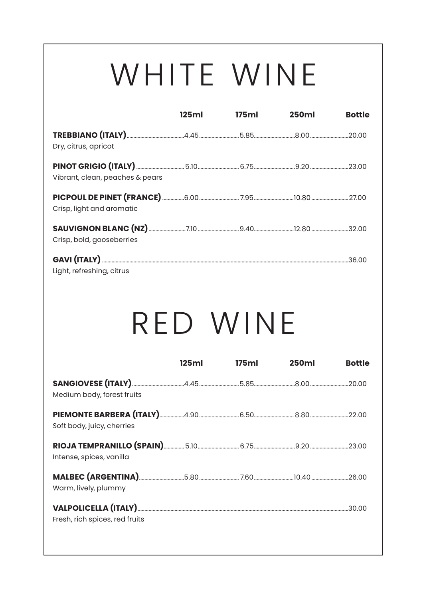# WHITE WINE

|                                 | 125ml | 175ml    | <b>250ml</b> | <b>Bottle</b> |
|---------------------------------|-------|----------|--------------|---------------|
| Dry, citrus, apricot            |       |          |              |               |
| Vibrant, clean, peaches & pears |       |          |              |               |
| Crisp, light and aromatic       |       |          |              |               |
| Crisp, bold, gooseberries       |       |          |              |               |
| Light, refreshing, citrus       |       |          |              |               |
|                                 |       |          |              |               |
|                                 |       |          |              |               |
|                                 |       | RED WINE |              |               |
|                                 | 125ml | 175ml    | <b>250ml</b> | <b>Bottle</b> |
| Medium body, forest fruits      |       |          |              |               |
| Soft body, juicy, cherries      |       |          |              |               |
| Intense, spices, vanilla        |       |          |              |               |
| Warm, lively, plummy            |       |          |              |               |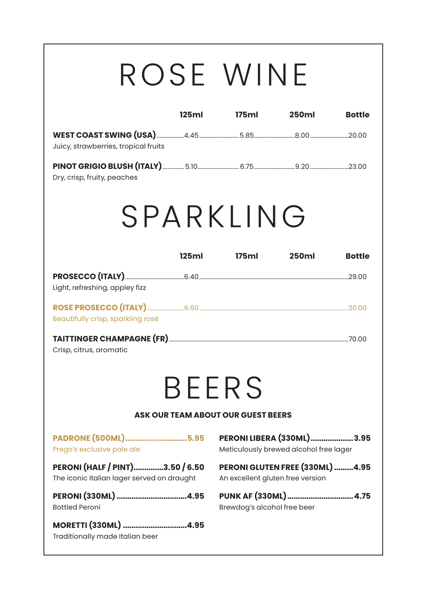## ROSE WINE

|                                                                               | 125ml | 175ml                                                               | <b>250ml</b>                           | <b>Bottle</b> |
|-------------------------------------------------------------------------------|-------|---------------------------------------------------------------------|----------------------------------------|---------------|
| Juicy, strawberries, tropical fruits                                          |       |                                                                     |                                        |               |
| Dry, crisp, fruity, peaches                                                   |       |                                                                     |                                        |               |
| SPARKING                                                                      |       |                                                                     |                                        |               |
|                                                                               | 125ml | 175ml                                                               | <b>250ml</b>                           | <b>Bottle</b> |
| Light, refreshing, appley fizz                                                |       |                                                                     |                                        |               |
| Beautifully crisp, sparkling rosé                                             |       |                                                                     |                                        |               |
| Crisp, citrus, aromatic                                                       |       |                                                                     |                                        |               |
|                                                                               |       | <b>BEERS</b>                                                        |                                        |               |
|                                                                               |       | ASK OUR TEAM ABOUT OUR GUEST BEERS                                  |                                        |               |
| PADRONE (500ML)5.95<br>Prego's exclusive pale ale                             |       | PERONI LIBERA (330ML)3.95                                           | Meticulously brewed alcohol free lager |               |
| PERONI (HALF / PINT)3.50 / 6.50<br>The iconic Italian lager served on draught |       | PERONI GLUTEN FREE (330ML) 4.95<br>An excellent gluten free version |                                        |               |
| PERONI (330ML) 4.95<br><b>Bottled Peroni</b>                                  |       | PUNK AF (330ML)4.75<br>Brewdog's alcohol free beer                  |                                        |               |
| MORETTI (330ML) 4.95<br>Traditionally made Italian beer                       |       |                                                                     |                                        |               |